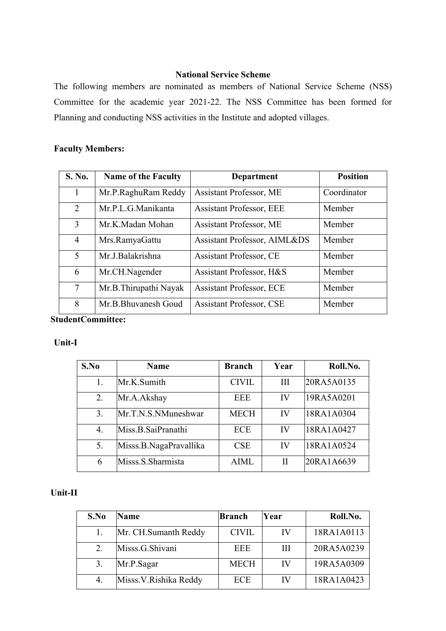## **National Service Scheme**

The following members are nominated as members of National Service Scheme (NSS) Committee for the academic year 2021-22. The NSS Committee has been formed for Planning and conducting NSS activities in the Institute and adopted villages.

# **Faculty Members:**

| <b>S. No.</b>  | <b>Name of the Faculty</b> | Department                      | <b>Position</b> |  |
|----------------|----------------------------|---------------------------------|-----------------|--|
| L              | Mr.P.RaghuRam Reddy        | Assistant Professor, ME         | Coordinator     |  |
| $\overline{2}$ | Mr.P.L.G.Manikanta         | <b>Assistant Professor, EEE</b> | Member          |  |
| $\overline{3}$ | Mr.K.Madan Mohan           | Assistant Professor, ME         | Member          |  |
| $\overline{4}$ | Mrs.RamyaGattu             | Assistant Professor, AIML&DS    | Member          |  |
| 5              | Mr.J.Balakrishna           | Assistant Professor, CE         | Member          |  |
| 6              | Mr.CH.Nagender             | Assistant Professor, H&S        | Member          |  |
| 7              | Mr.B.Thirupathi Nayak      | <b>Assistant Professor, ECE</b> | Member          |  |
| 8              | Mr.B.Bhuvanesh Goud        | <b>Assistant Professor, CSE</b> | Member          |  |

**StudentCommittee:**

### **Unit-I**

| S.No | <b>Name</b>            | <b>Branch</b> | Year     | Roll.No.   |
|------|------------------------|---------------|----------|------------|
|      | Mr.K.Sumith            | <b>CIVIL</b>  | Ш        | 20RA5A0135 |
| 2.   | Mr.A.Akshay            | <b>EEE</b>    | IV       | 19RA5A0201 |
| 3.   | Mr.T.N.S.NMuneshwar    | <b>MECH</b>   | IV       | 18RA1A0304 |
| 4.   | Miss.B.SaiPranathi     | <b>ECE</b>    | IV       | 18RA1A0427 |
| 5.   | Misss.B.NagaPravallika | <b>CSE</b>    | IV       | 18RA1A0524 |
| 6    | Misss.S.Sharmista      | <b>AIML</b>   | $\rm II$ | 20RA1A6639 |

# **Unit-II**

| S.No | Name                  | Branch       | Year | Roll.No.   |
|------|-----------------------|--------------|------|------------|
|      | Mr. CH. Sumanth Reddy | <b>CIVIL</b> | IV   | 18RA1A0113 |
| 2.   | Misss.G.Shivani       | <b>EEE</b>   | Ш    | 20RA5A0239 |
|      | Mr.P.Sagar            | <b>MECH</b>  | IV   | 19RA5A0309 |
| 4.   | Misss.V.Rishika Reddy | ECE          | IV   | 18RA1A0423 |